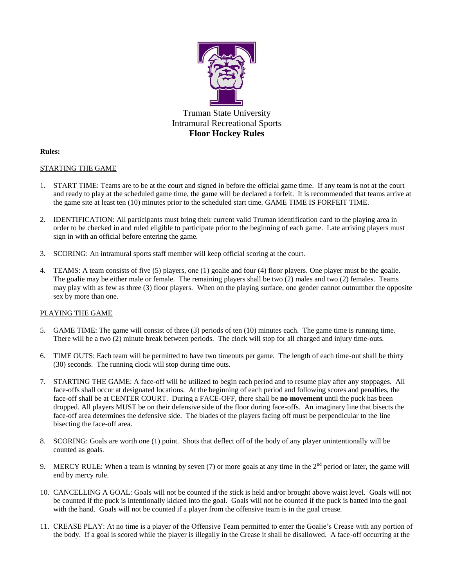

# **Rules:**

# STARTING THE GAME

- 1. START TIME: Teams are to be at the court and signed in before the official game time. If any team is not at the court and ready to play at the scheduled game time, the game will be declared a forfeit. It is recommended that teams arrive at the game site at least ten (10) minutes prior to the scheduled start time. GAME TIME IS FORFEIT TIME.
- 2. IDENTIFICATION: All participants must bring their current valid Truman identification card to the playing area in order to be checked in and ruled eligible to participate prior to the beginning of each game. Late arriving players must sign in with an official before entering the game.
- 3. SCORING: An intramural sports staff member will keep official scoring at the court.
- 4. TEAMS: A team consists of five (5) players, one (1) goalie and four (4) floor players. One player must be the goalie. The goalie may be either male or female. The remaining players shall be two (2) males and two (2) females. Teams may play with as few as three (3) floor players. When on the playing surface, one gender cannot outnumber the opposite sex by more than one.

# PLAYING THE GAME

- 5. GAME TIME: The game will consist of three (3) periods of ten (10) minutes each. The game time is running time. There will be a two (2) minute break between periods. The clock will stop for all charged and injury time-outs.
- 6. TIME OUTS: Each team will be permitted to have two timeouts per game. The length of each time-out shall be thirty (30) seconds. The running clock will stop during time outs.
- 7. STARTING THE GAME: A face-off will be utilized to begin each period and to resume play after any stoppages. All face-offs shall occur at designated locations. At the beginning of each period and following scores and penalties, the face-off shall be at CENTER COURT. During a FACE-OFF, there shall be **no movement** until the puck has been dropped. All players MUST be on their defensive side of the floor during face-offs. An imaginary line that bisects the face-off area determines the defensive side. The blades of the players facing off must be perpendicular to the line bisecting the face-off area.
- 8. SCORING: Goals are worth one (1) point. Shots that deflect off of the body of any player unintentionally will be counted as goals.
- 9. MERCY RULE: When a team is winning by seven (7) or more goals at any time in the  $2<sup>nd</sup>$  period or later, the game will end by mercy rule.
- 10. CANCELLING A GOAL: Goals will not be counted if the stick is held and/or brought above waist level. Goals will not be counted if the puck is intentionally kicked into the goal. Goals will not be counted if the puck is batted into the goal with the hand. Goals will not be counted if a player from the offensive team is in the goal crease.
- 11. CREASE PLAY: At no time is a player of the Offensive Team permitted to enter the Goalie's Crease with any portion of the body. If a goal is scored while the player is illegally in the Crease it shall be disallowed. A face-off occurring at the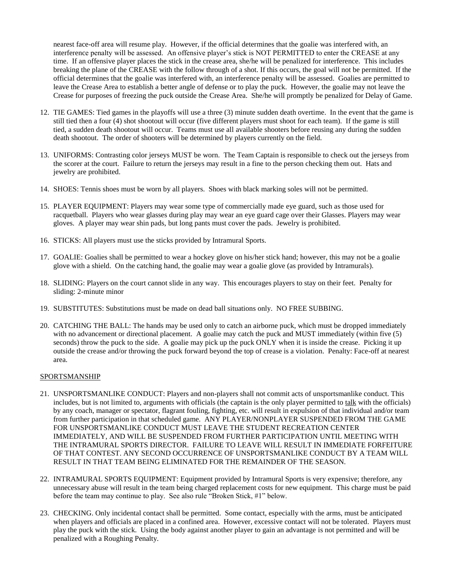nearest face-off area will resume play. However, if the official determines that the goalie was interfered with, an interference penalty will be assessed. An offensive player's stick is NOT PERMITTED to enter the CREASE at any time. If an offensive player places the stick in the crease area, she/he will be penalized for interference. This includes breaking the plane of the CREASE with the follow through of a shot. If this occurs, the goal will not be permitted. If the official determines that the goalie was interfered with, an interference penalty will be assessed. Goalies are permitted to leave the Crease Area to establish a better angle of defense or to play the puck. However, the goalie may not leave the Crease for purposes of freezing the puck outside the Crease Area. She/he will promptly be penalized for Delay of Game.

- 12. TIE GAMES: Tied games in the playoffs will use a three (3) minute sudden death overtime. In the event that the game is still tied then a four (4) shot shootout will occur (five different players must shoot for each team). If the game is still tied, a sudden death shootout will occur. Teams must use all available shooters before reusing any during the sudden death shootout. The order of shooters will be determined by players currently on the field.
- 13. UNIFORMS: Contrasting color jerseys MUST be worn. The Team Captain is responsible to check out the jerseys from the scorer at the court. Failure to return the jerseys may result in a fine to the person checking them out. Hats and jewelry are prohibited.
- 14. SHOES: Tennis shoes must be worn by all players. Shoes with black marking soles will not be permitted.
- 15. PLAYER EQUIPMENT: Players may wear some type of commercially made eye guard, such as those used for racquetball. Players who wear glasses during play may wear an eye guard cage over their Glasses. Players may wear gloves. A player may wear shin pads, but long pants must cover the pads. Jewelry is prohibited.
- 16. STICKS: All players must use the sticks provided by Intramural Sports.
- 17. GOALIE: Goalies shall be permitted to wear a hockey glove on his/her stick hand; however, this may not be a goalie glove with a shield. On the catching hand, the goalie may wear a goalie glove (as provided by Intramurals).
- 18. SLIDING: Players on the court cannot slide in any way. This encourages players to stay on their feet. Penalty for sliding: 2-minute minor
- 19. SUBSTITUTES: Substitutions must be made on dead ball situations only. NO FREE SUBBING.
- 20. CATCHING THE BALL: The hands may be used only to catch an airborne puck, which must be dropped immediately with no advancement or directional placement. A goalie may catch the puck and MUST immediately (within five  $(5)$ ) seconds) throw the puck to the side. A goalie may pick up the puck ONLY when it is inside the crease. Picking it up outside the crease and/or throwing the puck forward beyond the top of crease is a violation. Penalty: Face-off at nearest area.

#### SPORTSMANSHIP

- 21. UNSPORTSMANLIKE CONDUCT: Players and non-players shall not commit acts of unsportsmanlike conduct. This includes, but is not limited to, arguments with officials (the captain is the only player permitted to talk with the officials) by any coach, manager or spectator, flagrant fouling, fighting, etc. will result in expulsion of that individual and/or team from further participation in that scheduled game. ANY PLAYER/NONPLAYER SUSPENDED FROM THE GAME FOR UNSPORTSMANLIKE CONDUCT MUST LEAVE THE STUDENT RECREATION CENTER IMMEDIATELY, AND WILL BE SUSPENDED FROM FURTHER PARTICIPATION UNTIL MEETING WITH THE INTRAMURAL SPORTS DIRECTOR. FAILURE TO LEAVE WILL RESULT IN IMMEDIATE FORFEITURE OF THAT CONTEST. ANY SECOND OCCURRENCE OF UNSPORTSMANLIKE CONDUCT BY A TEAM WILL RESULT IN THAT TEAM BEING ELIMINATED FOR THE REMAINDER OF THE SEASON.
- 22. INTRAMURAL SPORTS EQUIPMENT: Equipment provided by Intramural Sports is very expensive; therefore, any unnecessary abuse will result in the team being charged replacement costs for new equipment. This charge must be paid before the team may continue to play. See also rule "Broken Stick, #1" below.
- 23. CHECKING. Only incidental contact shall be permitted. Some contact, especially with the arms, must be anticipated when players and officials are placed in a confined area. However, excessive contact will not be tolerated. Players must play the puck with the stick. Using the body against another player to gain an advantage is not permitted and will be penalized with a Roughing Penalty.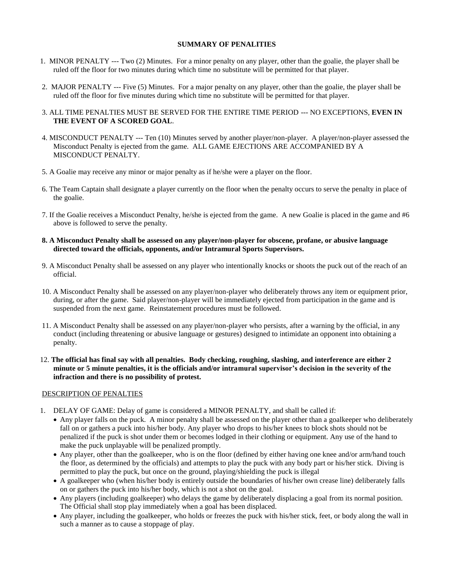#### **SUMMARY OF PENALITIES**

- 1. MINOR PENALTY --- Two (2) Minutes. For a minor penalty on any player, other than the goalie, the player shall be ruled off the floor for two minutes during which time no substitute will be permitted for that player.
- 2. MAJOR PENALTY --- Five (5) Minutes. For a major penalty on any player, other than the goalie, the player shall be ruled off the floor for five minutes during which time no substitute will be permitted for that player.
- 3. ALL TIME PENALTIES MUST BE SERVED FOR THE ENTIRE TIME PERIOD --- NO EXCEPTIONS, **EVEN IN THE EVENT OF A SCORED GOAL**.
- 4. MISCONDUCT PENALTY --- Ten (10) Minutes served by another player/non-player. A player/non-player assessed the Misconduct Penalty is ejected from the game. ALL GAME EJECTIONS ARE ACCOMPANIED BY A MISCONDUCT PENALTY.
- 5. A Goalie may receive any minor or major penalty as if he/she were a player on the floor.
- 6. The Team Captain shall designate a player currently on the floor when the penalty occurs to serve the penalty in place of the goalie.
- 7. If the Goalie receives a Misconduct Penalty, he/she is ejected from the game. A new Goalie is placed in the game and #6 above is followed to serve the penalty.

#### **8. A Misconduct Penalty shall be assessed on any player/non-player for obscene, profane, or abusive language directed toward the officials, opponents, and/or Intramural Sports Supervisors.**

- 9. A Misconduct Penalty shall be assessed on any player who intentionally knocks or shoots the puck out of the reach of an official.
- 10. A Misconduct Penalty shall be assessed on any player/non-player who deliberately throws any item or equipment prior, during, or after the game. Said player/non-player will be immediately ejected from participation in the game and is suspended from the next game. Reinstatement procedures must be followed.
- 11. A Misconduct Penalty shall be assessed on any player/non-player who persists, after a warning by the official, in any conduct (including threatening or abusive language or gestures) designed to intimidate an opponent into obtaining a penalty.
- 12. **The official has final say with all penalties. Body checking, roughing, slashing, and interference are either 2 minute or 5 minute penalties, it is the officials and/or intramural supervisor's decision in the severity of the infraction and there is no possibility of protest.**

#### DESCRIPTION OF PENALTIES

- 1. DELAY OF GAME: Delay of game is considered a MINOR PENALTY, and shall be called if:
	- Any player falls on the puck. A minor penalty shall be assessed on the player other than a goalkeeper who deliberately fall on or gathers a puck into his/her body. Any player who drops to his/her knees to block shots should not be penalized if the puck is shot under them or becomes lodged in their clothing or equipment. Any use of the hand to make the puck unplayable will be penalized promptly.
	- Any player, other than the goalkeeper, who is on the floor (defined by either having one knee and/or arm/hand touch the floor, as determined by the officials) and attempts to play the puck with any body part or his/her stick. Diving is permitted to play the puck, but once on the ground, playing/shielding the puck is illegal
	- A goalkeeper who (when his/her body is entirely outside the boundaries of his/her own crease line) deliberately falls on or gathers the puck into his/her body, which is not a shot on the goal.
	- Any players (including goalkeeper) who delays the game by deliberately displacing a goal from its normal position. The Official shall stop play immediately when a goal has been displaced.
	- Any player, including the goalkeeper, who holds or freezes the puck with his/her stick, feet, or body along the wall in such a manner as to cause a stoppage of play.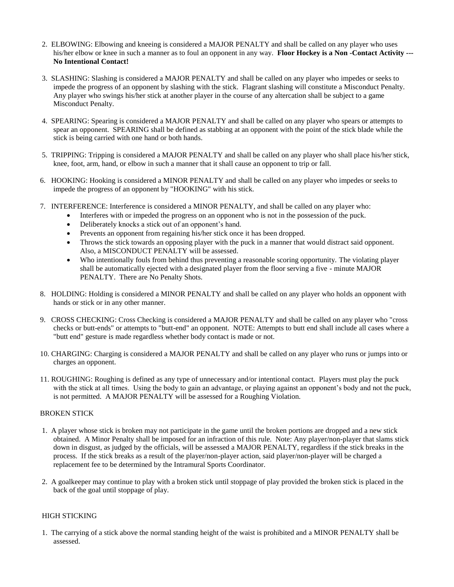- 2. ELBOWING: Elbowing and kneeing is considered a MAJOR PENALTY and shall be called on any player who uses his/her elbow or knee in such a manner as to foul an opponent in any way. **Floor Hockey is a Non -Contact Activity --- No Intentional Contact!**
- 3. SLASHING: Slashing is considered a MAJOR PENALTY and shall be called on any player who impedes or seeks to impede the progress of an opponent by slashing with the stick. Flagrant slashing will constitute a Misconduct Penalty. Any player who swings his/her stick at another player in the course of any altercation shall be subject to a game Misconduct Penalty.
- 4. SPEARING: Spearing is considered a MAJOR PENALTY and shall be called on any player who spears or attempts to spear an opponent. SPEARING shall be defined as stabbing at an opponent with the point of the stick blade while the stick is being carried with one hand or both hands.
- 5. TRIPPING: Tripping is considered a MAJOR PENALTY and shall be called on any player who shall place his/her stick, knee, foot, arm, hand, or elbow in such a manner that it shall cause an opponent to trip or fall.
- 6. HOOKING: Hooking is considered a MINOR PENALTY and shall be called on any player who impedes or seeks to impede the progress of an opponent by "HOOKING" with his stick.
- 7. INTERFERENCE: Interference is considered a MINOR PENALTY, and shall be called on any player who:
	- Interferes with or impeded the progress on an opponent who is not in the possession of the puck.
	- Deliberately knocks a stick out of an opponent's hand.
	- Prevents an opponent from regaining his/her stick once it has been dropped.
	- Throws the stick towards an opposing player with the puck in a manner that would distract said opponent. Also, a MISCONDUCT PENALTY will be assessed.
	- Who intentionally fouls from behind thus preventing a reasonable scoring opportunity. The violating player shall be automatically ejected with a designated player from the floor serving a five - minute MAJOR PENALTY. There are No Penalty Shots.
- 8. HOLDING: Holding is considered a MINOR PENALTY and shall be called on any player who holds an opponent with hands or stick or in any other manner.
- 9. CROSS CHECKING: Cross Checking is considered a MAJOR PENALTY and shall be called on any player who "cross checks or butt-ends" or attempts to "butt-end" an opponent. NOTE: Attempts to butt end shall include all cases where a "butt end" gesture is made regardless whether body contact is made or not.
- 10. CHARGING: Charging is considered a MAJOR PENALTY and shall be called on any player who runs or jumps into or charges an opponent.
- 11. ROUGHING: Roughing is defined as any type of unnecessary and/or intentional contact. Players must play the puck with the stick at all times. Using the body to gain an advantage, or playing against an opponent's body and not the puck, is not permitted. A MAJOR PENALTY will be assessed for a Roughing Violation.

## BROKEN STICK

- 1. A player whose stick is broken may not participate in the game until the broken portions are dropped and a new stick obtained. A Minor Penalty shall be imposed for an infraction of this rule. Note: Any player/non-player that slams stick down in disgust, as judged by the officials, will be assessed a MAJOR PENALTY, regardless if the stick breaks in the process. If the stick breaks as a result of the player/non-player action, said player/non-player will be charged a replacement fee to be determined by the Intramural Sports Coordinator.
- 2. A goalkeeper may continue to play with a broken stick until stoppage of play provided the broken stick is placed in the back of the goal until stoppage of play.

## HIGH STICKING

1. The carrying of a stick above the normal standing height of the waist is prohibited and a MINOR PENALTY shall be assessed.